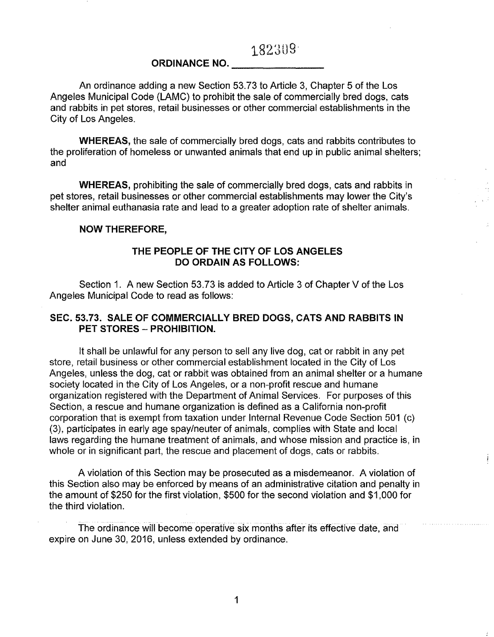## ORDINANCE NO.

An ordinance adding a new Section 53.73 to Article 3, Chapter 5 of the Los Angeles Municipal Code (LAMC) to prohibit the sale of commercially bred dogs, cats and rabbits in pet stores, retail businesses or other commercial establishments in the City of Los Angeles.

WHEREAS, the sale of commercially bred dogs, cats and rabbits contributes to the proliferation of homeless or unwanted animals that end up in public animal shelters; and

WHEREAS, prohibiting the sale of commercially bred dogs, cats and rabbits in pet stores, retail businesses or other commercial establishments may lower the City's shelter animal euthanasia rate and lead to a greater adoption rate of shelter animals.

## NOW THEREFORE,

## THE PEOPLE OF THE CITY OF LOS ANGELES DO ORDAIN AS FOLLOWS:

Section 1. A new Section 53.73 is added to Article 3 of Chapter V of the Los Angeles Municipal Code to read as follows:

## SEC. 53.73. SALE OF COMMERCIALLY BRED DOGS, CATS AND RABBITS IN PET STORES - PROHIBITION.

It shall be unlawful for any person to sell any live dog, cat or rabbit in any pet store, retail business or other commercial establishment located in the City of Los Angeles, unless the dog, cat or rabbit was obtained from an animal shelter or a humane society located in the City of Los Angeles, or a non-profit rescue and humane organization registered with the Department of Animal Services. For purposes of this Section, a rescue and humane organization is defined as a California non-profit corporation that is exempt from taxation under Internal Revenue Code Section 501 (c) (3), participates in early age spay/neuter of animals, complies with State and local laws regarding the humane treatment of animals, and whose mission and practice is, in whole or in significant part, the rescue and placement of dogs, cats or rabbits.

A violation of this Section may be prosecuted as a misdemeanor. A violation of this Section also may be enforced by means of an administrative citation and penalty in the amount of \$250 for the first violation, \$500 for the second violation and \$1,000 for the third violation.

The ordinance will become operative six months after its effective date, and expire on June 30, 2016, unless extended by ordinance.